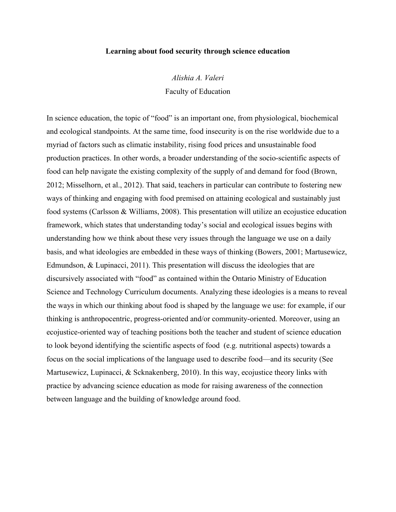## **Learning about food security through science education**

*Alishia A. Valeri* Faculty of Education

In science education, the topic of "food" is an important one, from physiological, biochemical and ecological standpoints. At the same time, food insecurity is on the rise worldwide due to a myriad of factors such as climatic instability, rising food prices and unsustainable food production practices. In other words, a broader understanding of the socio-scientific aspects of food can help navigate the existing complexity of the supply of and demand for food (Brown, 2012; Misselhorn, et al., 2012). That said, teachers in particular can contribute to fostering new ways of thinking and engaging with food premised on attaining ecological and sustainably just food systems (Carlsson & Williams, 2008). This presentation will utilize an ecojustice education framework, which states that understanding today's social and ecological issues begins with understanding how we think about these very issues through the language we use on a daily basis, and what ideologies are embedded in these ways of thinking (Bowers, 2001; Martusewicz, Edmundson, & Lupinacci, 2011). This presentation will discuss the ideologies that are discursively associated with "food" as contained within the Ontario Ministry of Education Science and Technology Curriculum documents. Analyzing these ideologies is a means to reveal the ways in which our thinking about food is shaped by the language we use: for example, if our thinking is anthropocentric, progress-oriented and/or community-oriented. Moreover, using an ecojustice-oriented way of teaching positions both the teacher and student of science education to look beyond identifying the scientific aspects of food (e.g. nutritional aspects) towards a focus on the social implications of the language used to describe food—and its security (See Martusewicz, Lupinacci, & Scknakenberg, 2010). In this way, ecojustice theory links with practice by advancing science education as mode for raising awareness of the connection between language and the building of knowledge around food.